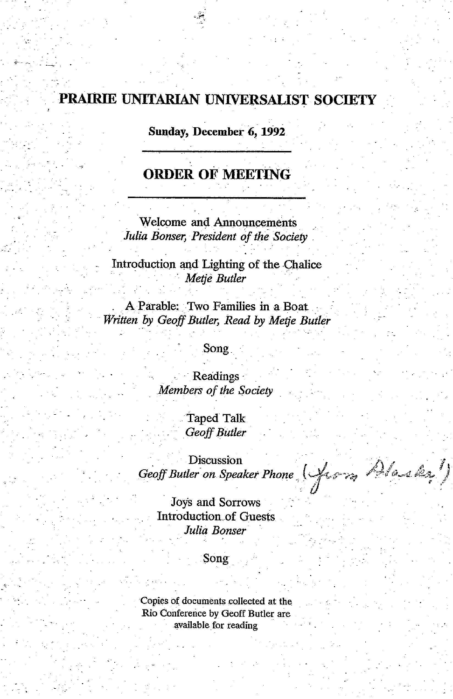# **. PRAIRIE UNITARIAN UNIVERSALIST SOCIETY**

**Sunday, December 6, 1992** 

## **ORDER OF MEETING**

Welcome and Announcements Julia Bonser, President of the Society

Introduction and Lighting of the Chalice *. . Metje Butler .* 

A Parable: Two Families in a Boat *Written by Geoff Butler, Read by Metje Butler* 

#### .Song

Readings· Members *of the Society* 

> Taped Talk *Geoff Butler*

 $\sum_{i=1}^{n}$  Discussion *j<sub>1</sub> j*<sub>2</sub> *<i>j<sub>1</sub> j*<sub>2</sub> *<i>j<sub>1</sub></sub> <i>j*<sub>3</sub> *Geoff Butler*<br>Discussion<br>*Geoff Butler on Speaker Phone* (*form, <sup><i>p*</sup>refined the 1</sup>/

· Joys and Sorrows Introduction.of Guests *Julia Bonser* 

#### Song

Copies of documents collected at the Rio Conference by Geoff Butler are available for reading